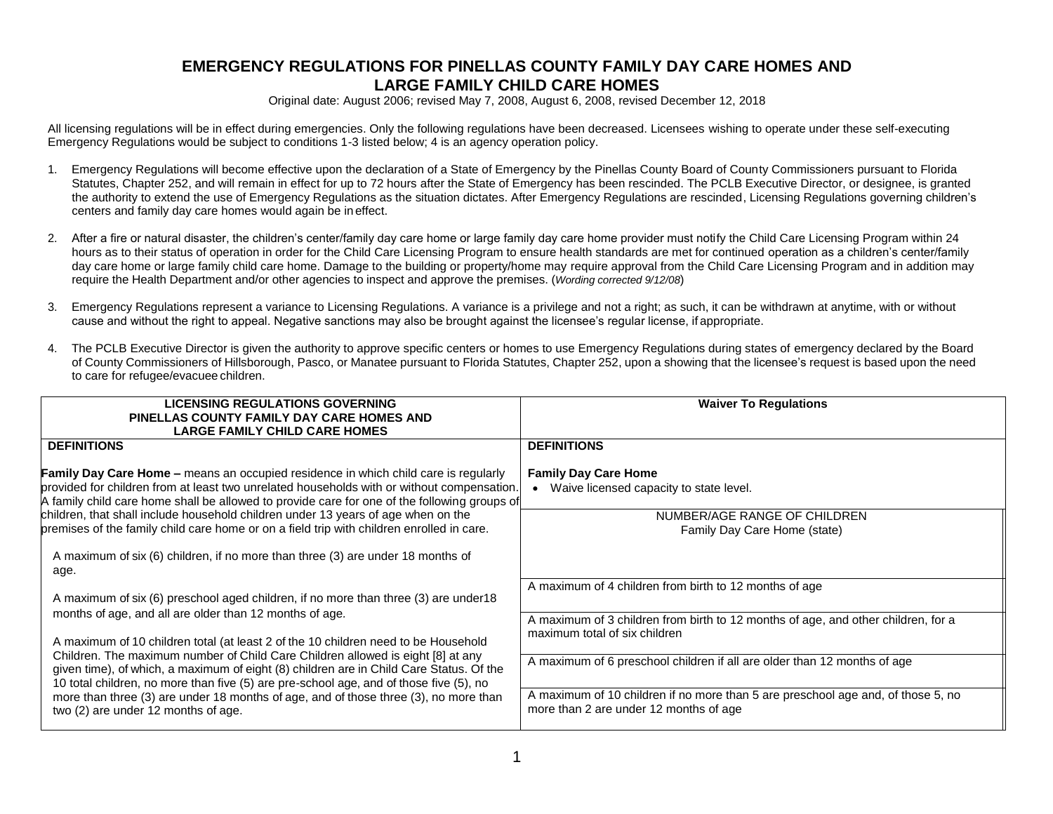## **EMERGENCY REGULATIONS FOR PINELLAS COUNTY FAMILY DAY CARE HOMES AND LARGE FAMILY CHILD CARE HOMES**

Original date: August 2006; revised May 7, 2008, August 6, 2008, revised December 12, 2018

All licensing regulations will be in effect during emergencies. Only the following regulations have been decreased. Licensees wishing to operate under these self-executing Emergency Regulations would be subject to conditions 1-3 listed below; 4 is an agency operation policy.

- 1. Emergency Regulations will become effective upon the declaration of a State of Emergency by the Pinellas County Board of County Commissioners pursuant to Florida Statutes, Chapter 252, and will remain in effect for up to 72 hours after the State of Emergency has been rescinded. The PCLB Executive Director, or designee, is granted the authority to extend the use of Emergency Regulations as the situation dictates. After Emergency Regulations are rescinded, Licensing Regulations governing children's centers and family day care homes would again be ineffect.
- 2. After a fire or natural disaster, the children's center/family day care home or large family day care home provider must notify the Child Care Licensing Program within 24 hours as to their status of operation in order for the Child Care Licensing Program to ensure health standards are met for continued operation as a children's center/family day care home or large family child care home. Damage to the building or property/home may require approval from the Child Care Licensing Program and in addition may require the Health Department and/or other agencies to inspect and approve the premises. (*Wording corrected 9/12/08*)
- 3. Emergency Regulations represent a variance to Licensing Regulations. A variance is a privilege and not a right; as such, it can be withdrawn at anytime, with or without cause and without the right to appeal. Negative sanctions may also be brought against the licensee's regular license, if appropriate.
- 4. The PCLB Executive Director is given the authority to approve specific centers or homes to use Emergency Regulations during states of emergency declared by the Board of County Commissioners of Hillsborough, Pasco, or Manatee pursuant to Florida Statutes, Chapter 252, upon a showing that the licensee's request is based upon the need to care for refugee/evacuee children.

| <b>LICENSING REGULATIONS GOVERNING</b><br>PINELLAS COUNTY FAMILY DAY CARE HOMES AND<br><b>LARGE FAMILY CHILD CARE HOMES</b>                                                                                                                                                                                                                                                                                           | <b>Waiver To Regulations</b>                                                                                               |
|-----------------------------------------------------------------------------------------------------------------------------------------------------------------------------------------------------------------------------------------------------------------------------------------------------------------------------------------------------------------------------------------------------------------------|----------------------------------------------------------------------------------------------------------------------------|
| <b>DEFINITIONS</b>                                                                                                                                                                                                                                                                                                                                                                                                    | <b>DEFINITIONS</b>                                                                                                         |
| <b>Family Day Care Home –</b> means an occupied residence in which child care is regularly<br>provided for children from at least two unrelated households with or without compensation.<br>A family child care home shall be allowed to provide care for one of the following groups of                                                                                                                              | <b>Family Day Care Home</b><br>Waive licensed capacity to state level.                                                     |
| children, that shall include household children under 13 years of age when on the<br>premises of the family child care home or on a field trip with children enrolled in care.                                                                                                                                                                                                                                        | NUMBER/AGE RANGE OF CHILDREN<br>Family Day Care Home (state)                                                               |
| A maximum of six (6) children, if no more than three (3) are under 18 months of<br>age.                                                                                                                                                                                                                                                                                                                               |                                                                                                                            |
| A maximum of six (6) preschool aged children, if no more than three (3) are under 18                                                                                                                                                                                                                                                                                                                                  | A maximum of 4 children from birth to 12 months of age                                                                     |
| months of age, and all are older than 12 months of age.<br>A maximum of 10 children total (at least 2 of the 10 children need to be Household<br>Children. The maximum number of Child Care Children allowed is eight [8] at any<br>given time), of which, a maximum of eight (8) children are in Child Care Status. Of the<br>10 total children, no more than five (5) are pre-school age, and of those five (5), no | A maximum of 3 children from birth to 12 months of age, and other children, for a<br>maximum total of six children         |
|                                                                                                                                                                                                                                                                                                                                                                                                                       | A maximum of 6 preschool children if all are older than 12 months of age                                                   |
| more than three (3) are under 18 months of age, and of those three (3), no more than<br>two (2) are under 12 months of age.                                                                                                                                                                                                                                                                                           | A maximum of 10 children if no more than 5 are preschool age and, of those 5, no<br>more than 2 are under 12 months of age |